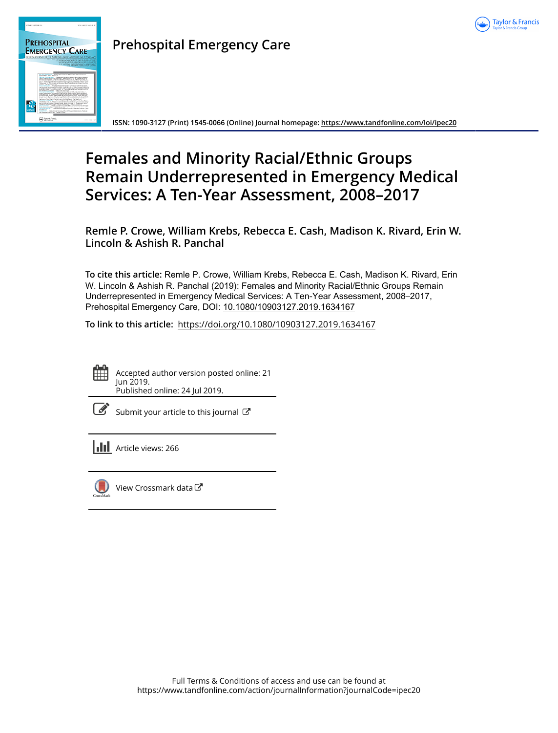



## **Prehospital Emergency Care**

**ISSN: 1090-3127 (Print) 1545-0066 (Online) Journal homepage:<https://www.tandfonline.com/loi/ipec20>**

# **Females and Minority Racial/Ethnic Groups Remain Underrepresented in Emergency Medical Services: A Ten-Year Assessment, 2008–2017**

**Remle P. Crowe, William Krebs, Rebecca E. Cash, Madison K. Rivard, Erin W. Lincoln & Ashish R. Panchal**

**To cite this article:** Remle P. Crowe, William Krebs, Rebecca E. Cash, Madison K. Rivard, Erin W. Lincoln & Ashish R. Panchal (2019): Females and Minority Racial/Ethnic Groups Remain Underrepresented in Emergency Medical Services: A Ten-Year Assessment, 2008–2017, Prehospital Emergency Care, DOI: [10.1080/10903127.2019.1634167](https://www.tandfonline.com/action/showCitFormats?doi=10.1080/10903127.2019.1634167)

**To link to this article:** <https://doi.org/10.1080/10903127.2019.1634167>



Accepted author version posted online: 21 Jun 2019. Published online: 24 Jul 2019.

[Submit your article to this journal](https://www.tandfonline.com/action/authorSubmission?journalCode=ipec20&show=instructions)  $\mathbb{Z}$ 

**Article views: 266** 



[View Crossmark data](http://crossmark.crossref.org/dialog/?doi=10.1080/10903127.2019.1634167&domain=pdf&date_stamp=2019-06-21) $\bm{\mathcal{C}}$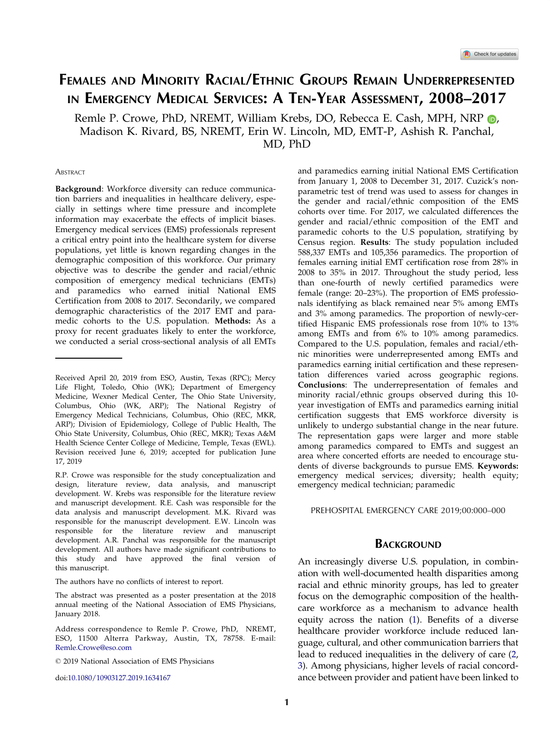## <span id="page-1-0"></span>FEMALES AND MINORITY RACIAL/ETHNIC GROUPS REMAIN UNDERREPRESENTED IN EMERGENCY MEDICAL SERVICES: A TEN-YEAR ASSESSMENT, 2008-2017

Remle P. Crowe, PhD, NREMT, William Krebs, DO, Rebecca E. Cash, MPH, NRP  $\odot$ , Madison K. Rivard, BS, NREMT, Erin W. Lincoln, MD, EMT-P, Ashish R. Panchal, MD, PhD

#### **ABSTRACT**

Background: Workforce diversity can reduce communication barriers and inequalities in healthcare delivery, especially in settings where time pressure and incomplete information may exacerbate the effects of implicit biases. Emergency medical services (EMS) professionals represent a critical entry point into the healthcare system for diverse populations, yet little is known regarding changes in the demographic composition of this workforce. Our primary objective was to describe the gender and racial/ethnic composition of emergency medical technicians (EMTs) and paramedics who earned initial National EMS Certification from 2008 to 2017. Secondarily, we compared demographic characteristics of the 2017 EMT and paramedic cohorts to the U.S. population. Methods: As a proxy for recent graduates likely to enter the workforce, we conducted a serial cross-sectional analysis of all EMTs

The authors have no conflicts of interest to report.

doi:10.1080/10903127.2019.1634167

and paramedics earning initial National EMS Certification from January 1, 2008 to December 31, 2017. Cuzick's nonparametric test of trend was used to assess for changes in the gender and racial/ethnic composition of the EMS cohorts over time. For 2017, we calculated differences the gender and racial/ethnic composition of the EMT and paramedic cohorts to the U.S population, stratifying by Census region. Results: The study population included 588,337 EMTs and 105,356 paramedics. The proportion of females earning initial EMT certification rose from 28% in 2008 to 35% in 2017. Throughout the study period, less than one-fourth of newly certified paramedics were female (range: 20–23%). The proportion of EMS professionals identifying as black remained near 5% among EMTs and 3% among paramedics. The proportion of newly-certified Hispanic EMS professionals rose from 10% to 13% among EMTs and from 6% to 10% among paramedics. Compared to the U.S. population, females and racial/ethnic minorities were underrepresented among EMTs and paramedics earning initial certification and these representation differences varied across geographic regions. Conclusions: The underrepresentation of females and minority racial/ethnic groups observed during this 10 year investigation of EMTs and paramedics earning initial certification suggests that EMS workforce diversity is unlikely to undergo substantial change in the near future. The representation gaps were larger and more stable among paramedics compared to EMTs and suggest an area where concerted efforts are needed to encourage students of diverse backgrounds to pursue EMS. Keywords: emergency medical services; diversity; health equity; emergency medical technician; paramedic

PREHOSPITAL EMERGENCY CARE 2019;00:000–000

### **BACKGROUND**

An increasingly diverse U.S. population, in combination with well-documented health disparities among racial and ethnic minority groups, has led to greater focus on the demographic composition of the healthcare workforce as a mechanism to advance health equity across the nation [\(1\)](#page-7-0). Benefits of a diverse healthcare provider workforce include reduced language, cultural, and other communication barriers that lead to reduced inequalities in the delivery of care [\(2](#page-7-0), [3\)](#page-7-0). Among physicians, higher levels of racial concordance between provider and patient have been linked to

Received April 20, 2019 from ESO, Austin, Texas (RPC); Mercy Life Flight, Toledo, Ohio (WK); Department of Emergency Medicine, Wexner Medical Center, The Ohio State University, Columbus, Ohio (WK, ARP); The National Registry of Emergency Medical Technicians, Columbus, Ohio (REC, MKR, ARP); Division of Epidemiology, College of Public Health, The Ohio State University, Columbus, Ohio (REC, MKR); Texas A&M Health Science Center College of Medicine, Temple, Texas (EWL). Revision received June 6, 2019; accepted for publication June 17, 2019

R.P. Crowe was responsible for the study conceptualization and design, literature review, data analysis, and manuscript development. W. Krebs was responsible for the literature review and manuscript development. R.E. Cash was responsible for the data analysis and manuscript development. M.K. Rivard was responsible for the manuscript development. E.W. Lincoln was responsible for the literature review and manuscript development. A.R. Panchal was responsible for the manuscript development. All authors have made significant contributions to this study and have approved the final version of this manuscript.

The abstract was presented as a poster presentation at the 2018 annual meeting of the National Association of EMS Physicians, January 2018.

Address correspondence to Remle P. Crowe, PhD, NREMT, ESO, 11500 Alterra Parkway, Austin, TX, 78758. E-mail: Remle.Crowe@eso.com

2019 National Association of EMS Physicians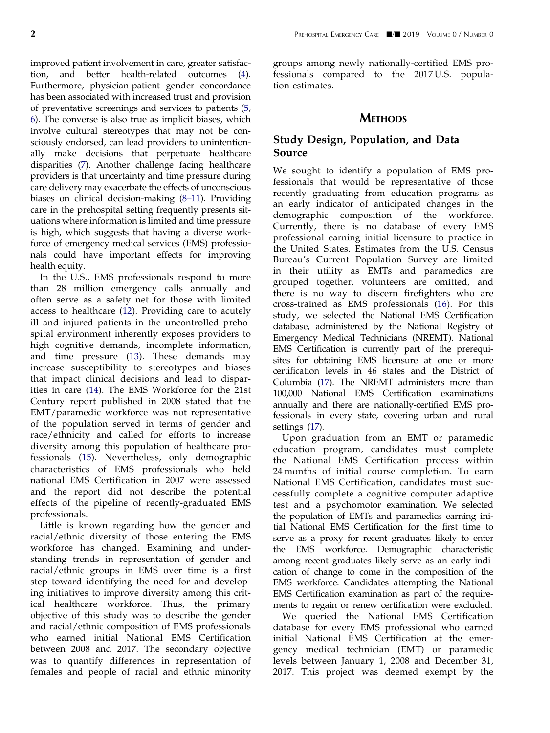<span id="page-2-0"></span>improved patient involvement in care, greater satisfaction, and better health-related outcomes [\(4](#page-7-0)). Furthermore, physician-patient gender concordance has been associated with increased trust and provision of preventative screenings and services to patients ([5](#page-8-0), [6\)](#page-8-0). The converse is also true as implicit biases, which involve cultural stereotypes that may not be consciously endorsed, can lead providers to unintentionally make decisions that perpetuate healthcare disparities [\(7](#page-8-0)). Another challenge facing healthcare providers is that uncertainty and time pressure during care delivery may exacerbate the effects of unconscious biases on clinical decision-making (8–[11\)](#page-8-0). Providing care in the prehospital setting frequently presents situations where information is limited and time pressure is high, which suggests that having a diverse workforce of emergency medical services (EMS) professionals could have important effects for improving health equity.

In the U.S., EMS professionals respond to more than 28 million emergency calls annually and often serve as a safety net for those with limited access to healthcare [\(12\)](#page-8-0). Providing care to acutely ill and injured patients in the uncontrolled prehospital environment inherently exposes providers to high cognitive demands, incomplete information, and time pressure ([13](#page-8-0)). These demands may increase susceptibility to stereotypes and biases that impact clinical decisions and lead to disparities in care [\(14](#page-8-0)). The EMS Workforce for the 21st Century report published in 2008 stated that the EMT/paramedic workforce was not representative of the population served in terms of gender and race/ethnicity and called for efforts to increase diversity among this population of healthcare professionals ([15\)](#page-8-0). Nevertheless, only demographic characteristics of EMS professionals who held national EMS Certification in 2007 were assessed and the report did not describe the potential effects of the pipeline of recently-graduated EMS professionals.

Little is known regarding how the gender and racial/ethnic diversity of those entering the EMS workforce has changed. Examining and understanding trends in representation of gender and racial/ethnic groups in EMS over time is a first step toward identifying the need for and developing initiatives to improve diversity among this critical healthcare workforce. Thus, the primary objective of this study was to describe the gender and racial/ethnic composition of EMS professionals who earned initial National EMS Certification between 2008 and 2017. The secondary objective was to quantify differences in representation of females and people of racial and ethnic minority groups among newly nationally-certified EMS professionals compared to the 2017 U.S. population estimates.

## **METHODS**

## Study Design, Population, and Data Source

We sought to identify a population of EMS professionals that would be representative of those recently graduating from education programs as an early indicator of anticipated changes in the demographic composition of the workforce. Currently, there is no database of every EMS professional earning initial licensure to practice in the United States. Estimates from the U.S. Census Bureau's Current Population Survey are limited in their utility as EMTs and paramedics are grouped together, volunteers are omitted, and there is no way to discern firefighters who are cross-trained as EMS professionals [\(16\)](#page-8-0). For this study, we selected the National EMS Certification database, administered by the National Registry of Emergency Medical Technicians (NREMT). National EMS Certification is currently part of the prerequisites for obtaining EMS licensure at one or more certification levels in 46 states and the District of Columbia [\(17\)](#page-8-0). The NREMT administers more than 100,000 National EMS Certification examinations annually and there are nationally-certified EMS professionals in every state, covering urban and rural settings [\(17\)](#page-8-0).

Upon graduation from an EMT or paramedic education program, candidates must complete the National EMS Certification process within 24 months of initial course completion. To earn National EMS Certification, candidates must successfully complete a cognitive computer adaptive test and a psychomotor examination. We selected the population of EMTs and paramedics earning initial National EMS Certification for the first time to serve as a proxy for recent graduates likely to enter the EMS workforce. Demographic characteristic among recent graduates likely serve as an early indication of change to come in the composition of the EMS workforce. Candidates attempting the National EMS Certification examination as part of the requirements to regain or renew certification were excluded.

We queried the National EMS Certification database for every EMS professional who earned initial National EMS Certification at the emergency medical technician (EMT) or paramedic levels between January 1, 2008 and December 31, 2017. This project was deemed exempt by the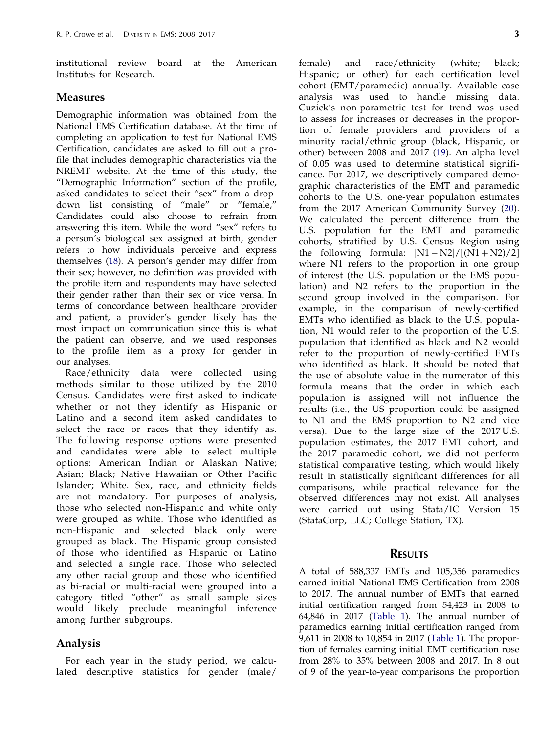<span id="page-3-0"></span>institutional review board at the American Institutes for Research.

#### Measures

Demographic information was obtained from the National EMS Certification database. At the time of completing an application to test for National EMS Certification, candidates are asked to fill out a profile that includes demographic characteristics via the NREMT website. At the time of this study, the "Demographic Information" section of the profile, asked candidates to select their "sex" from a dropdown list consisting of "male" or "female," Candidates could also choose to refrain from answering this item. While the word "sex" refers to a person's biological sex assigned at birth, gender refers to how individuals perceive and express themselves [\(18](#page-8-0)). A person's gender may differ from their sex; however, no definition was provided with the profile item and respondents may have selected their gender rather than their sex or vice versa. In terms of concordance between healthcare provider and patient, a provider's gender likely has the most impact on communication since this is what the patient can observe, and we used responses to the profile item as a proxy for gender in our analyses.

Race/ethnicity data were collected using methods similar to those utilized by the 2010 Census. Candidates were first asked to indicate whether or not they identify as Hispanic or Latino and a second item asked candidates to select the race or races that they identify as. The following response options were presented and candidates were able to select multiple options: American Indian or Alaskan Native; Asian; Black; Native Hawaiian or Other Pacific Islander; White. Sex, race, and ethnicity fields are not mandatory. For purposes of analysis, those who selected non-Hispanic and white only were grouped as white. Those who identified as non-Hispanic and selected black only were grouped as black. The Hispanic group consisted of those who identified as Hispanic or Latino and selected a single race. Those who selected any other racial group and those who identified as bi-racial or multi-racial were grouped into a category titled "other" as small sample sizes would likely preclude meaningful inference among further subgroups.

#### Analysis

For each year in the study period, we calculated descriptive statistics for gender (male/ female) and race/ethnicity (white; black; Hispanic; or other) for each certification level cohort (EMT/paramedic) annually. Available case analysis was used to handle missing data. Cuzick's non-parametric test for trend was used to assess for increases or decreases in the proportion of female providers and providers of a minority racial/ethnic group (black, Hispanic, or other) between 2008 and 2017 ([19](#page-8-0)). An alpha level of 0.05 was used to determine statistical significance. For 2017, we descriptively compared demographic characteristics of the EMT and paramedic cohorts to the U.S. one-year population estimates from the 2017 American Community Survey ([20\)](#page-8-0). We calculated the percent difference from the U.S. population for the EMT and paramedic cohorts, stratified by U.S. Census Region using the following formula:  $|N1 - N2|/[(N1 + N2)/2]$ where N1 refers to the proportion in one group of interest (the U.S. population or the EMS population) and N2 refers to the proportion in the second group involved in the comparison. For example, in the comparison of newly-certified EMTs who identified as black to the U.S. population, N1 would refer to the proportion of the U.S. population that identified as black and N2 would refer to the proportion of newly-certified EMTs who identified as black. It should be noted that the use of absolute value in the numerator of this formula means that the order in which each population is assigned will not influence the results (i.e., the US proportion could be assigned to N1 and the EMS proportion to N2 and vice versa). Due to the large size of the 2017 U.S. population estimates, the 2017 EMT cohort, and the 2017 paramedic cohort, we did not perform statistical comparative testing, which would likely result in statistically significant differences for all comparisons, while practical relevance for the observed differences may not exist. All analyses were carried out using Stata/IC Version 15 (StataCorp, LLC; College Station, TX).

### RESULTS

A total of 588,337 EMTs and 105,356 paramedics earned initial National EMS Certification from 2008 to 2017. The annual number of EMTs that earned initial certification ranged from 54,423 in 2008 to 64,846 in 2017 ([Table 1\)](#page-4-0). The annual number of paramedics earning initial certification ranged from 9,611 in 2008 to 10,854 in 2017 [\(Table 1\)](#page-4-0). The proportion of females earning initial EMT certification rose from 28% to 35% between 2008 and 2017. In 8 out of 9 of the year-to-year comparisons the proportion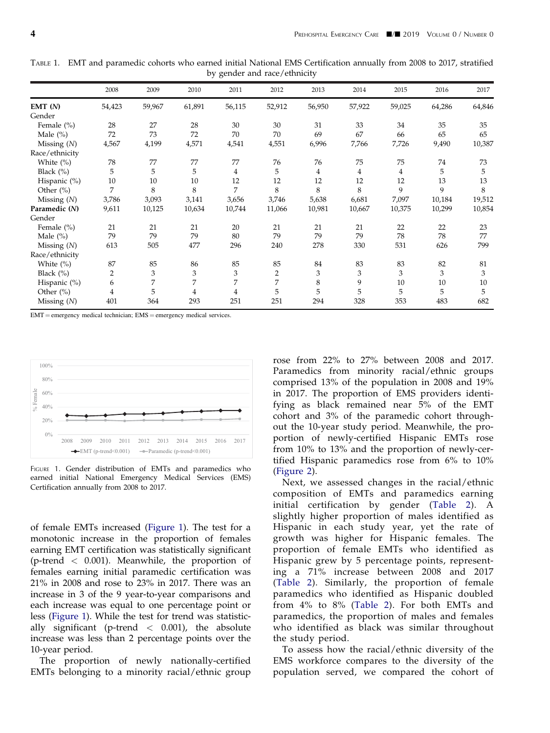|                | 2008           | 2009   | 2010   | 2011   | 2012           | 2013   | 2014   | 2015   | 2016   | 2017   |
|----------------|----------------|--------|--------|--------|----------------|--------|--------|--------|--------|--------|
| EMT(N)         | 54,423         | 59,967 | 61,891 | 56,115 | 52,912         | 56,950 | 57,922 | 59,025 | 64,286 | 64,846 |
| Gender         |                |        |        |        |                |        |        |        |        |        |
| Female $(\% )$ | 28             | 27     | 28     | 30     | 30             | 31     | 33     | 34     | 35     | 35     |
| Male $(\% )$   | 72             | 73     | 72     | 70     | 70             | 69     | 67     | 66     | 65     | 65     |
| Missing $(N)$  | 4,567          | 4,199  | 4,571  | 4,541  | 4,551          | 6,996  | 7,766  | 7,726  | 9,490  | 10,387 |
| Race/ethnicity |                |        |        |        |                |        |        |        |        |        |
| White $(\% )$  | 78             | 77     | 77     | 77     | 76             | 76     | 75     | 75     | 74     | 73     |
| Black $(\%)$   | 5              | 5      | 5      | 4      | 5              | 4      | 4      | 4      | 5      | 5      |
| Hispanic (%)   | 10             | 10     | 10     | 12     | 12             | 12     | 12     | 12     | 13     | 13     |
| Other $(\% )$  | 7              | 8      | 8      | 7      | 8              | 8      | 8      | 9      | 9      | 8      |
| Missing $(N)$  | 3,786          | 3,093  | 3,141  | 3,656  | 3,746          | 5,638  | 6,681  | 7,097  | 10,184 | 19,512 |
| Paramedic (N)  | 9,611          | 10,125 | 10,634 | 10,744 | 11,066         | 10,981 | 10,667 | 10,375 | 10,299 | 10,854 |
| Gender         |                |        |        |        |                |        |        |        |        |        |
| Female $(\% )$ | 21             | 21     | 21     | 20     | 21             | 21     | 21     | 22     | 22     | 23     |
| Male $(\% )$   | 79             | 79     | 79     | 80     | 79             | 79     | 79     | 78     | 78     | 77     |
| Missing $(N)$  | 613            | 505    | 477    | 296    | 240            | 278    | 330    | 531    | 626    | 799    |
| Race/ethnicity |                |        |        |        |                |        |        |        |        |        |
| White $(\% )$  | 87             | 85     | 86     | 85     | 85             | 84     | 83     | 83     | 82     | 81     |
| Black $(\%)$   | $\overline{2}$ | 3      | 3      | 3      | $\overline{2}$ | 3      | 3      | 3      | 3      | 3      |
| Hispanic (%)   | 6              | 7      | 7      | 7      | 7              | 8      | 9      | 10     | 10     | 10     |
| Other $(\% )$  | 4              | 5      | 4      | 4      | 5              | 5      | 5      | 5      | 5      | 5      |
| Missing $(N)$  | 401            | 364    | 293    | 251    | 251            | 294    | 328    | 353    | 483    | 682    |

<span id="page-4-0"></span>TABLE 1. EMT and paramedic cohorts who earned initial National EMS Certification annually from 2008 to 2017, stratified by gender and race/ethnicity

 $EMT =$  emergency medical technician;  $EMS =$  emergency medical services.



FIGURE 1. Gender distribution of EMTs and paramedics who earned initial National Emergency Medical Services (EMS) Certification annually from 2008 to 2017.

of female EMTs increased (Figure 1). The test for a monotonic increase in the proportion of females earning EMT certification was statistically significant (p-trend  $\langle$  0.001). Meanwhile, the proportion of females earning initial paramedic certification was 21% in 2008 and rose to 23% in 2017. There was an increase in 3 of the 9 year-to-year comparisons and each increase was equal to one percentage point or less (Figure 1). While the test for trend was statistically significant (p-trend  $\langle 0.001 \rangle$ , the absolute increase was less than 2 percentage points over the 10-year period.

The proportion of newly nationally-certified EMTs belonging to a minority racial/ethnic group

rose from 22% to 27% between 2008 and 2017. Paramedics from minority racial/ethnic groups comprised 13% of the population in 2008 and 19% in 2017. The proportion of EMS providers identifying as black remained near 5% of the EMT cohort and 3% of the paramedic cohort throughout the 10-year study period. Meanwhile, the proportion of newly-certified Hispanic EMTs rose from 10% to 13% and the proportion of newly-certified Hispanic paramedics rose from 6% to 10% [\(Figure 2\)](#page-5-0).

Next, we assessed changes in the racial/ethnic composition of EMTs and paramedics earning initial certification by gender [\(Table 2\)](#page-5-0). A slightly higher proportion of males identified as Hispanic in each study year, yet the rate of growth was higher for Hispanic females. The proportion of female EMTs who identified as Hispanic grew by 5 percentage points, representing a 71% increase between 2008 and 2017 [\(Table 2](#page-5-0)). Similarly, the proportion of female paramedics who identified as Hispanic doubled from 4% to 8% ([Table 2](#page-5-0)). For both EMTs and paramedics, the proportion of males and females who identified as black was similar throughout the study period.

To assess how the racial/ethnic diversity of the EMS workforce compares to the diversity of the population served, we compared the cohort of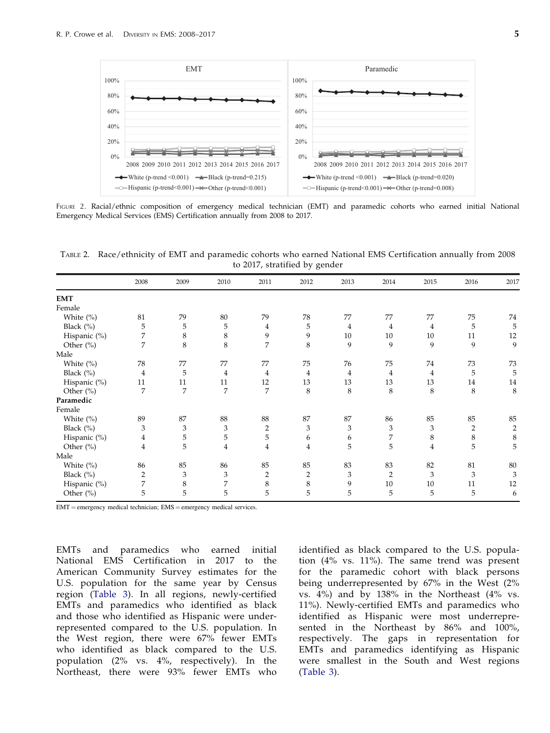<span id="page-5-0"></span>

FIGURE 2. Racial/ethnic composition of emergency medical technician (EMT) and paramedic cohorts who earned initial National Emergency Medical Services (EMS) Certification annually from 2008 to 2017.

TABLE 2. Race/ethnicity of EMT and paramedic cohorts who earned National EMS Certification annually from 2008 to 2017, stratified by gender

| 20 <sup>-</sup> |                |                |                |                  |                |      |                |      |                |                |
|-----------------|----------------|----------------|----------------|------------------|----------------|------|----------------|------|----------------|----------------|
|                 | 2008           | 2009           | 2010           | 2011             | 2012           | 2013 | 2014           | 2015 | 2016           | 2017           |
| <b>EMT</b>      |                |                |                |                  |                |      |                |      |                |                |
| Female          |                |                |                |                  |                |      |                |      |                |                |
| White (%)       | 81             | 79             | 80             | 79               | 78             | 77   | 77             | 77   | 75             | 74             |
| Black (%)       | 5              | 5              | 5              | $\overline{4}$   | 5              | 4    | 4              | 4    | 5              | 5              |
| Hispanic (%)    | 7              | 8              | 8              | 9                | 9              | 10   | 10             | 10   | 11             | 12             |
| Other (%)       | 7              | 8              | 8              | $\overline{7}$   | 8              | 9    | 9              | 9    | 9              | 9              |
| Male            |                |                |                |                  |                |      |                |      |                |                |
| White (%)       | 78             | 77             | 77             | 77               | 75             | 76   | 75             | 74   | 73             | 73             |
| Black (%)       | 4              | 5              | 4              | 4                | 4              | 4    | $\overline{4}$ | 4    | 5              | 5              |
| Hispanic (%)    | 11             | 11             | 11             | 12               | 13             | 13   | 13             | 13   | 14             | 14             |
| Other (%)       | 7              | 7              | 7              | 7                | 8              | 8    | $\,8\,$        | 8    | 8              | 8              |
| Paramedic       |                |                |                |                  |                |      |                |      |                |                |
| Female          |                |                |                |                  |                |      |                |      |                |                |
| White (%)       | 89             | 87             | 88             | 88               | 87             | 87   | 86             | 85   | 85             | 85             |
| Black $(\%)$    | 3              | 3              | 3              | $\boldsymbol{2}$ | 3              | 3    | 3              | 3    | $\overline{2}$ | $\overline{c}$ |
| Hispanic (%)    | 4              | 5              | 5              | 5                | 6              | 6    | 7              | 8    | 8              | $\,$ 8 $\,$    |
| Other (%)       | 4              | 5              | $\overline{4}$ | $\overline{4}$   | 4              | 5    | 5              | 4    | 5              | 5              |
| Male            |                |                |                |                  |                |      |                |      |                |                |
| White (%)       | 86             | 85             | 86             | 85               | 85             | 83   | 83             | 82   | 81             | 80             |
| Black (%)       | $\overline{2}$ | $\mathfrak{Z}$ | 3              | $\overline{2}$   | $\overline{2}$ | 3    | $\overline{2}$ | 3    | 3              | 3              |
| Hispanic (%)    | 7              | 8              | 7              | 8                | 8              | 9    | 10             | 10   | 11             | 12             |
| Other (%)       | 5              | 5              | 5              | 5                | 5              | 5    | 5              | 5    | 5              | 6              |

 $EMT =$  emergency medical technician;  $EMS =$  emergency medical services.

EMTs and paramedics who earned initial National EMS Certification in 2017 to the American Community Survey estimates for the U.S. population for the same year by Census region ([Table 3\)](#page-6-0). In all regions, newly-certified EMTs and paramedics who identified as black and those who identified as Hispanic were underrepresented compared to the U.S. population. In the West region, there were 67% fewer EMTs who identified as black compared to the U.S. population (2% vs. 4%, respectively). In the Northeast, there were 93% fewer EMTs who

identified as black compared to the U.S. population (4% vs. 11%). The same trend was present for the paramedic cohort with black persons being underrepresented by 67% in the West (2% vs. 4%) and by 138% in the Northeast (4% vs. 11%). Newly-certified EMTs and paramedics who identified as Hispanic were most underrepresented in the Northeast by 86% and 100%, respectively. The gaps in representation for EMTs and paramedics identifying as Hispanic were smallest in the South and West regions [\(Table 3\)](#page-6-0).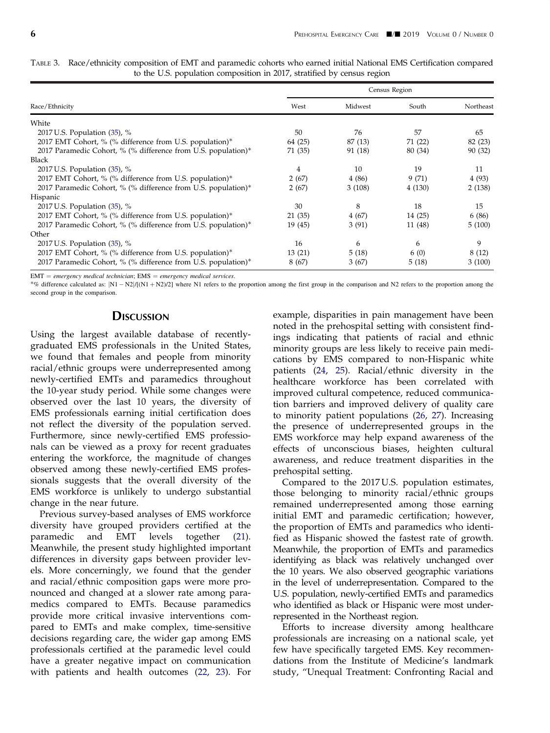<span id="page-6-0"></span>

| TABLE 3. Race/ethnicity composition of EMT and paramedic cohorts who earned initial National EMS Certification compared |  |  |  |
|-------------------------------------------------------------------------------------------------------------------------|--|--|--|
| to the U.S. population composition in 2017, stratified by census region                                                 |  |  |  |

|                                                               |         | Census Region |         |           |  |
|---------------------------------------------------------------|---------|---------------|---------|-----------|--|
| Race/Ethnicity                                                | West    | Midwest       | South   | Northeast |  |
| White                                                         |         |               |         |           |  |
| 2017 U.S. Population $(35)$ , %                               | 50      | 76            | .57     | 65        |  |
| 2017 EMT Cohort, % (% difference from U.S. population)*       | 64 (25) | 87 (13)       | 71 (22) | 82 (23)   |  |
| 2017 Paramedic Cohort, % (% difference from U.S. population)* | 71 (35) | 91 (18)       | 80 (34) | 90 (32)   |  |
| Black                                                         |         |               |         |           |  |
| 2017 U.S. Population $(35)$ , %                               | 4       | 10            | 19      | 11        |  |
| 2017 EMT Cohort, % (% difference from U.S. population)*       | 2(67)   | 4(86)         | 9(71)   | 4(93)     |  |
| 2017 Paramedic Cohort, % (% difference from U.S. population)* | 2(67)   | 3(108)        | 4(130)  | 2(138)    |  |
| Hispanic                                                      |         |               |         |           |  |
| 2017 U.S. Population $(35)$ , %                               | 30      | 8             | 18      | 15        |  |
| 2017 EMT Cohort, % (% difference from U.S. population)*       | 21 (35) | 4(67)         | 14 (25) | 6 (86)    |  |
| 2017 Paramedic Cohort, % (% difference from U.S. population)* | 19 (45) | 3(91)         | 11 (48) | 5(100)    |  |
| Other                                                         |         |               |         |           |  |
| 2017 U.S. Population (35), %                                  | 16      | 6             | 6       | 9         |  |
| 2017 EMT Cohort, % (% difference from U.S. population)*       | 13(21)  | 5(18)         | 6(0)    | 8(12)     |  |
| 2017 Paramedic Cohort, % (% difference from U.S. population)* | 8 (67)  | 3(67)         | 5 (18)  | 3(100)    |  |

 $EMT = emergency medical technician; EMS = emergency medical.$ 

\*% difference calculated as:  $[N1 - N2]/[(N1 + N2)/2]$  where N1 refers to the proportion among the first group in the comparison and N2 refers to the proportion among the second group in the comparison.

#### **DISCUSSION**

Using the largest available database of recentlygraduated EMS professionals in the United States, we found that females and people from minority racial/ethnic groups were underrepresented among newly-certified EMTs and paramedics throughout the 10-year study period. While some changes were observed over the last 10 years, the diversity of EMS professionals earning initial certification does not reflect the diversity of the population served. Furthermore, since newly-certified EMS professionals can be viewed as a proxy for recent graduates entering the workforce, the magnitude of changes observed among these newly-certified EMS professionals suggests that the overall diversity of the EMS workforce is unlikely to undergo substantial change in the near future.

Previous survey-based analyses of EMS workforce diversity have grouped providers certified at the paramedic and EMT levels together [\(21](#page-8-0)). Meanwhile, the present study highlighted important differences in diversity gaps between provider levels. More concerningly, we found that the gender and racial/ethnic composition gaps were more pronounced and changed at a slower rate among paramedics compared to EMTs. Because paramedics provide more critical invasive interventions compared to EMTs and make complex, time-sensitive decisions regarding care, the wider gap among EMS professionals certified at the paramedic level could have a greater negative impact on communication with patients and health outcomes ([22,](#page-8-0) [23](#page-8-0)). For

example, disparities in pain management have been noted in the prehospital setting with consistent findings indicating that patients of racial and ethnic minority groups are less likely to receive pain medications by EMS compared to non-Hispanic white patients ([24,](#page-8-0) [25](#page-8-0)). Racial/ethnic diversity in the healthcare workforce has been correlated with improved cultural competence, reduced communication barriers and improved delivery of quality care to minority patient populations [\(26](#page-8-0), [27](#page-8-0)). Increasing the presence of underrepresented groups in the EMS workforce may help expand awareness of the effects of unconscious biases, heighten cultural awareness, and reduce treatment disparities in the prehospital setting.

Compared to the 2017 U.S. population estimates, those belonging to minority racial/ethnic groups remained underrepresented among those earning initial EMT and paramedic certification; however, the proportion of EMTs and paramedics who identified as Hispanic showed the fastest rate of growth. Meanwhile, the proportion of EMTs and paramedics identifying as black was relatively unchanged over the 10 years. We also observed geographic variations in the level of underrepresentation. Compared to the U.S. population, newly-certified EMTs and paramedics who identified as black or Hispanic were most underrepresented in the Northeast region.

Efforts to increase diversity among healthcare professionals are increasing on a national scale, yet few have specifically targeted EMS. Key recommendations from the Institute of Medicine's landmark study, "Unequal Treatment: Confronting Racial and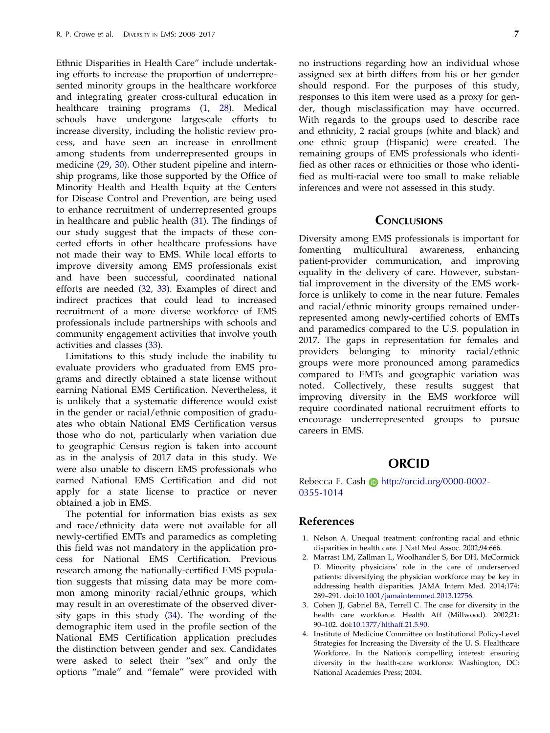<span id="page-7-0"></span>Ethnic Disparities in Health Care" include undertaking efforts to increase the proportion of underrepresented minority groups in the healthcare workforce and integrating greater cross-cultural education in healthcare training programs (1, [28](#page-8-0)). Medical schools have undergone largescale efforts to increase diversity, including the holistic review process, and have seen an increase in enrollment among students from underrepresented groups in medicine [\(29](#page-8-0), [30\)](#page-8-0). Other student pipeline and internship programs, like those supported by the Office of Minority Health and Health Equity at the Centers for Disease Control and Prevention, are being used to enhance recruitment of underrepresented groups in healthcare and public health ([31\)](#page-8-0). The findings of our study suggest that the impacts of these concerted efforts in other healthcare professions have not made their way to EMS. While local efforts to improve diversity among EMS professionals exist and have been successful, coordinated national efforts are needed ([32,](#page-8-0) [33\)](#page-8-0). Examples of direct and indirect practices that could lead to increased recruitment of a more diverse workforce of EMS professionals include partnerships with schools and community engagement activities that involve youth activities and classes [\(33](#page-8-0)).

Limitations to this study include the inability to evaluate providers who graduated from EMS programs and directly obtained a state license without earning National EMS Certification. Nevertheless, it is unlikely that a systematic difference would exist in the gender or racial/ethnic composition of graduates who obtain National EMS Certification versus those who do not, particularly when variation due to geographic Census region is taken into account as in the analysis of 2017 data in this study. We were also unable to discern EMS professionals who earned National EMS Certification and did not apply for a state license to practice or never obtained a job in EMS.

The potential for information bias exists as sex and race/ethnicity data were not available for all newly-certified EMTs and paramedics as completing this field was not mandatory in the application process for National EMS Certification. Previous research among the nationally-certified EMS population suggests that missing data may be more common among minority racial/ethnic groups, which may result in an overestimate of the observed diversity gaps in this study [\(34](#page-8-0)). The wording of the demographic item used in the profile section of the National EMS Certification application precludes the distinction between gender and sex. Candidates were asked to select their "sex" and only the options "male" and "female" were provided with no instructions regarding how an individual whose assigned sex at birth differs from his or her gender should respond. For the purposes of this study, responses to this item were used as a proxy for gender, though misclassification may have occurred. With regards to the groups used to describe race and ethnicity, 2 racial groups (white and black) and one ethnic group (Hispanic) were created. The remaining groups of EMS professionals who identified as other races or ethnicities or those who identified as multi-racial were too small to make reliable inferences and were not assessed in this study.

#### **CONCLUSIONS**

Diversity among EMS professionals is important for fomenting multicultural awareness, enhancing patient-provider communication, and improving equality in the delivery of care. However, substantial improvement in the diversity of the EMS workforce is unlikely to come in the near future. Females and racial/ethnic minority groups remained underrepresented among newly-certified cohorts of EMTs and paramedics compared to the U.S. population in 2017. The gaps in representation for females and providers belonging to minority racial/ethnic groups were more pronounced among paramedics compared to EMTs and geographic variation was noted. Collectively, these results suggest that improving diversity in the EMS workforce will require coordinated national recruitment efforts to encourage underrepresented groups to pursue careers in EMS.

#### ORCID

Rebecca E. Cash **b** http://orcid.org/0000-0002-0355-1014

#### References

- [1.](#page-1-0) Nelson A. Unequal treatment: confronting racial and ethnic disparities in health care. J Natl Med Assoc. 2002;94:666.
- [2.](#page-1-0) Marrast LM, Zallman L, Woolhandler S, Bor DH, McCormick D. Minority physicians' role in the care of underserved patients: diversifying the physician workforce may be key in addressing health disparities. JAMA Intern Med. 2014;174: 289–291. doi[:10.1001/jamainternmed.2013.12756.](https://doi.org/10.1001/jamainternmed.2013.12756)
- [3.](#page-1-0) Cohen JJ, Gabriel BA, Terrell C. The case for diversity in the health care workforce. Health Aff (Millwood). 2002;21: 90–102. doi[:10.1377/hlthaff.21.5.90](https://doi.org/10.1377/hlthaff.21.5.90).
- [4.](#page-2-0) Institute of Medicine Committee on Institutional Policy-Level Strategies for Increasing the Diversity of the U. S. Healthcare Workforce. In the Nation's compelling interest: ensuring diversity in the health-care workforce. Washington, DC: National Academies Press; 2004.